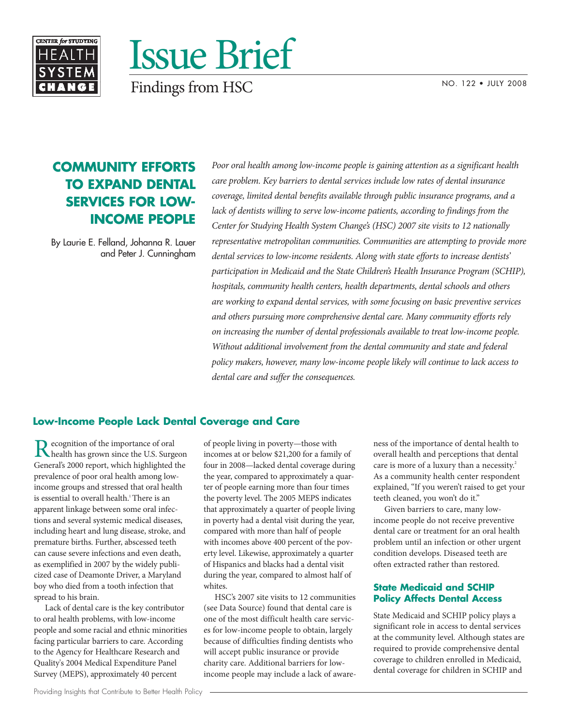



Findings from HSC No. 122 • JULY 2008

# **Community Efforts to expand dental services for lowincome people**

By Laurie E. Felland, Johanna R. Lauer and Peter J. Cunningham

*Poor oral health among low-income people is gaining attention as a significant health care problem. Key barriers to dental services include low rates of dental insurance coverage, limited dental benefits available through public insurance programs, and a lack of dentists willing to serve low-income patients, according to findings from the Center for Studying Health System Change's (HSC) 2007 site visits to 12 nationally representative metropolitan communities. Communities are attempting to provide more dental services to low-income residents. Along with state efforts to increase dentists' participation in Medicaid and the State Children's Health Insurance Program (SCHIP), hospitals, community health centers, health departments, dental schools and others are working to expand dental services, with some focusing on basic preventive services and others pursuing more comprehensive dental care. Many community efforts rely on increasing the number of dental professionals available to treat low-income people. Without additional involvement from the dental community and state and federal policy makers, however, many low-income people likely will continue to lack access to dental care and suffer the consequences.*

# **Low-Income People Lack Dental Coverage and Care**

Recognition of the importance of oral<br>health has grown since the U.S. Surgeon General's 2000 report, which highlighted the prevalence of poor oral health among lowincome groups and stressed that oral health is essential to overall health.<sup>1</sup> There is an apparent linkage between some oral infections and several systemic medical diseases, including heart and lung disease, stroke, and premature births. Further, abscessed teeth can cause severe infections and even death, as exemplified in 2007 by the widely publicized case of Deamonte Driver, a Maryland boy who died from a tooth infection that spread to his brain.

Lack of dental care is the key contributor to oral health problems, with low-income people and some racial and ethnic minorities facing particular barriers to care. According to the Agency for Healthcare Research and Quality's 2004 Medical Expenditure Panel Survey (MEPS), approximately 40 percent

of people living in poverty—those with incomes at or below \$21,200 for a family of four in 2008—lacked dental coverage during the year, compared to approximately a quarter of people earning more than four times the poverty level. The 2005 MEPS indicates that approximately a quarter of people living in poverty had a dental visit during the year, compared with more than half of people with incomes above 400 percent of the poverty level. Likewise, approximately a quarter of Hispanics and blacks had a dental visit during the year, compared to almost half of whites.

HSC's 2007 site visits to 12 communities (see Data Source) found that dental care is one of the most difficult health care services for low-income people to obtain, largely because of difficulties finding dentists who will accept public insurance or provide charity care. Additional barriers for lowincome people may include a lack of awareness of the importance of dental health to overall health and perceptions that dental care is more of a luxury than a necessity.<sup>2</sup> As a community health center respondent explained, "If you weren't raised to get your teeth cleaned, you won't do it."

Given barriers to care, many lowincome people do not receive preventive dental care or treatment for an oral health problem until an infection or other urgent condition develops. Diseased teeth are often extracted rather than restored.

# **State Medicaid and SCHIP Policy Affects Dental Access**

State Medicaid and SCHIP policy plays a significant role in access to dental services at the community level. Although states are required to provide comprehensive dental coverage to children enrolled in Medicaid, dental coverage for children in SCHIP and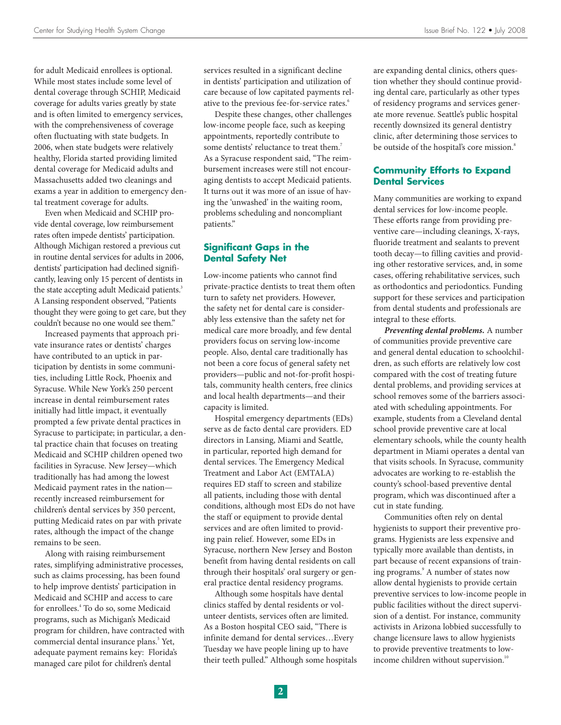for adult Medicaid enrollees is optional. While most states include some level of dental coverage through SCHIP, Medicaid coverage for adults varies greatly by state and is often limited to emergency services, with the comprehensiveness of coverage often fluctuating with state budgets. In 2006, when state budgets were relatively healthy, Florida started providing limited dental coverage for Medicaid adults and Massachusetts added two cleanings and exams a year in addition to emergency dental treatment coverage for adults.

Even when Medicaid and SCHIP provide dental coverage, low reimbursement rates often impede dentists' participation. Although Michigan restored a previous cut in routine dental services for adults in 2006, dentists' participation had declined significantly, leaving only 15 percent of dentists in the state accepting adult Medicaid patients.<sup>3</sup> A Lansing respondent observed, "Patients thought they were going to get care, but they couldn't because no one would see them."

Increased payments that approach private insurance rates or dentists' charges have contributed to an uptick in participation by dentists in some communities, including Little Rock, Phoenix and Syracuse. While New York's 250 percent increase in dental reimbursement rates initially had little impact, it eventually prompted a few private dental practices in Syracuse to participate; in particular, a dental practice chain that focuses on treating Medicaid and SCHIP children opened two facilities in Syracuse. New Jersey—which traditionally has had among the lowest Medicaid payment rates in the nation recently increased reimbursement for children's dental services by 350 percent, putting Medicaid rates on par with private rates, although the impact of the change remains to be seen.

Along with raising reimbursement rates, simplifying administrative processes, such as claims processing, has been found to help improve dentists' participation in Medicaid and SCHIP and access to care for enrollees.4 To do so, some Medicaid programs, such as Michigan's Medicaid program for children, have contracted with commercial dental insurance plans.<sup>5</sup> Yet, adequate payment remains key: Florida's managed care pilot for children's dental

services resulted in a significant decline in dentists' participation and utilization of care because of low capitated payments relative to the previous fee-for-service rates.<sup>6</sup>

Despite these changes, other challenges low-income people face, such as keeping appointments, reportedly contribute to some dentists' reluctance to treat them.<sup>7</sup> As a Syracuse respondent said, "The reimbursement increases were still not encouraging dentists to accept Medicaid patients. It turns out it was more of an issue of having the 'unwashed' in the waiting room, problems scheduling and noncompliant patients."

## **Significant Gaps in the Dental Safety Net**

Low-income patients who cannot find private-practice dentists to treat them often turn to safety net providers. However, the safety net for dental care is considerably less extensive than the safety net for medical care more broadly, and few dental providers focus on serving low-income people. Also, dental care traditionally has not been a core focus of general safety net providers—public and not-for-profit hospitals, community health centers, free clinics and local health departments—and their capacity is limited.

Hospital emergency departments (EDs) serve as de facto dental care providers. ED directors in Lansing, Miami and Seattle, in particular, reported high demand for dental services. The Emergency Medical Treatment and Labor Act (EMTALA) requires ED staff to screen and stabilize all patients, including those with dental conditions, although most EDs do not have the staff or equipment to provide dental services and are often limited to providing pain relief. However, some EDs in Syracuse, northern New Jersey and Boston benefit from having dental residents on call through their hospitals' oral surgery or general practice dental residency programs.

Although some hospitals have dental clinics staffed by dental residents or volunteer dentists, services often are limited. As a Boston hospital CEO said, "There is infinite demand for dental services…Every Tuesday we have people lining up to have their teeth pulled." Although some hospitals

are expanding dental clinics, others question whether they should continue providing dental care, particularly as other types of residency programs and services generate more revenue. Seattle's public hospital recently downsized its general dentistry clinic, after determining those services to be outside of the hospital's core mission.<sup>8</sup>

#### **Community Efforts to Expand Dental Services**

Many communities are working to expand dental services for low-income people. These efforts range from providing preventive care—including cleanings, X-rays, fluoride treatment and sealants to prevent tooth decay—to filling cavities and providing other restorative services, and, in some cases, offering rehabilitative services, such as orthodontics and periodontics. Funding support for these services and participation from dental students and professionals are integral to these efforts.

*Preventing dental problems.* A number of communities provide preventive care and general dental education to schoolchildren, as such efforts are relatively low cost compared with the cost of treating future dental problems, and providing services at school removes some of the barriers associated with scheduling appointments. For example, students from a Cleveland dental school provide preventive care at local elementary schools, while the county health department in Miami operates a dental van that visits schools. In Syracuse, community advocates are working to re-establish the county's school-based preventive dental program, which was discontinued after a cut in state funding.

Communities often rely on dental hygienists to support their preventive programs. Hygienists are less expensive and typically more available than dentists, in part because of recent expansions of training programs.<sup>9</sup> A number of states now allow dental hygienists to provide certain preventive services to low-income people in public facilities without the direct supervision of a dentist. For instance, community activists in Arizona lobbied successfully to change licensure laws to allow hygienists to provide preventive treatments to lowincome children without supervision.<sup>10</sup>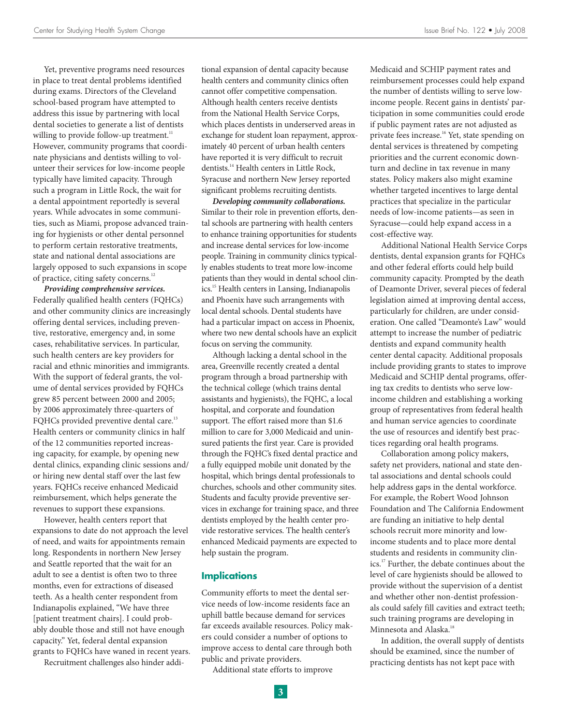Yet, preventive programs need resources in place to treat dental problems identified during exams. Directors of the Cleveland school-based program have attempted to address this issue by partnering with local dental societies to generate a list of dentists willing to provide follow-up treatment.<sup>11</sup> However, community programs that coordinate physicians and dentists willing to volunteer their services for low-income people typically have limited capacity. Through such a program in Little Rock, the wait for a dental appointment reportedly is several years. While advocates in some communities, such as Miami, propose advanced training for hygienists or other dental personnel to perform certain restorative treatments, state and national dental associations are largely opposed to such expansions in scope of practice, citing safety concerns.<sup>12</sup>

*Providing comprehensive services.* Federally qualified health centers (FQHCs) and other community clinics are increasingly offering dental services, including preventive, restorative, emergency and, in some cases, rehabilitative services. In particular, such health centers are key providers for racial and ethnic minorities and immigrants. With the support of federal grants, the volume of dental services provided by FQHCs grew 85 percent between 2000 and 2005; by 2006 approximately three-quarters of FQHCs provided preventive dental care.<sup>13</sup> Health centers or community clinics in half of the 12 communities reported increasing capacity, for example, by opening new dental clinics, expanding clinic sessions and/ or hiring new dental staff over the last few years. FQHCs receive enhanced Medicaid reimbursement, which helps generate the revenues to support these expansions.

However, health centers report that expansions to date do not approach the level of need, and waits for appointments remain long. Respondents in northern New Jersey and Seattle reported that the wait for an adult to see a dentist is often two to three months, even for extractions of diseased teeth. As a health center respondent from Indianapolis explained, "We have three [patient treatment chairs]. I could probably double those and still not have enough capacity." Yet, federal dental expansion grants to FQHCs have waned in recent years.

Recruitment challenges also hinder addi-

tional expansion of dental capacity because health centers and community clinics often cannot offer competitive compensation. Although health centers receive dentists from the National Health Service Corps, which places dentists in underserved areas in exchange for student loan repayment, approximately 40 percent of urban health centers have reported it is very difficult to recruit dentists.14 Health centers in Little Rock, Syracuse and northern New Jersey reported significant problems recruiting dentists.

*Developing community collaborations.* Similar to their role in prevention efforts, dental schools are partnering with health centers to enhance training opportunities for students and increase dental services for low-income people. Training in community clinics typically enables students to treat more low-income patients than they would in dental school clinics.15 Health centers in Lansing, Indianapolis and Phoenix have such arrangements with local dental schools. Dental students have had a particular impact on access in Phoenix, where two new dental schools have an explicit focus on serving the community.

Although lacking a dental school in the area, Greenville recently created a dental program through a broad partnership with the technical college (which trains dental assistants and hygienists), the FQHC, a local hospital, and corporate and foundation support. The effort raised more than \$1.6 million to care for 3,000 Medicaid and uninsured patients the first year. Care is provided through the FQHC's fixed dental practice and a fully equipped mobile unit donated by the hospital, which brings dental professionals to churches, schools and other community sites. Students and faculty provide preventive services in exchange for training space, and three dentists employed by the health center provide restorative services. The health center's enhanced Medicaid payments are expected to help sustain the program.

#### **Implications**

Community efforts to meet the dental service needs of low-income residents face an uphill battle because demand for services far exceeds available resources. Policy makers could consider a number of options to improve access to dental care through both public and private providers.

Additional state efforts to improve

Medicaid and SCHIP payment rates and reimbursement processes could help expand the number of dentists willing to serve lowincome people. Recent gains in dentists' participation in some communities could erode if public payment rates are not adjusted as private fees increase.<sup>16</sup> Yet, state spending on dental services is threatened by competing priorities and the current economic downturn and decline in tax revenue in many states. Policy makers also might examine whether targeted incentives to large dental practices that specialize in the particular needs of low-income patients—as seen in Syracuse—could help expand access in a cost-effective way.

Additional National Health Service Corps dentists, dental expansion grants for FQHCs and other federal efforts could help build community capacity. Prompted by the death of Deamonte Driver, several pieces of federal legislation aimed at improving dental access, particularly for children, are under consideration. One called "Deamonte's Law" would attempt to increase the number of pediatric dentists and expand community health center dental capacity. Additional proposals include providing grants to states to improve Medicaid and SCHIP dental programs, offering tax credits to dentists who serve lowincome children and establishing a working group of representatives from federal health and human service agencies to coordinate the use of resources and identify best practices regarding oral health programs.

Collaboration among policy makers, safety net providers, national and state dental associations and dental schools could help address gaps in the dental workforce. For example, the Robert Wood Johnson Foundation and The California Endowment are funding an initiative to help dental schools recruit more minority and lowincome students and to place more dental students and residents in community clinics.17 Further, the debate continues about the level of care hygienists should be allowed to provide without the supervision of a dentist and whether other non-dentist professionals could safely fill cavities and extract teeth; such training programs are developing in Minnesota and Alaska.<sup>18</sup>

In addition, the overall supply of dentists should be examined, since the number of practicing dentists has not kept pace with